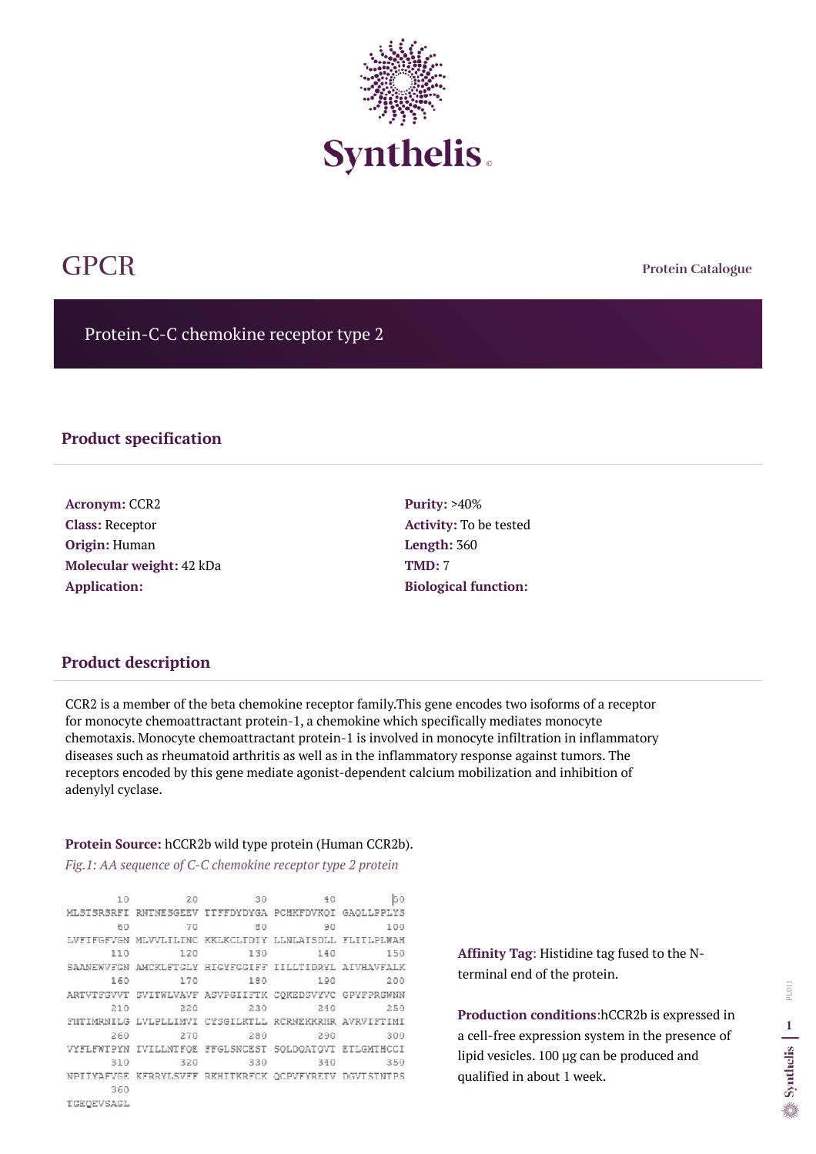**Protein Catalogue**

Protein-C-C chemokine receptor type 2



# GPCR

### **Product specification**

**Acronym:** CCR2 **Class:** Receptor **Origin:** Human **Molecular weight:** 42 kDa **Application:**

**Purity:** >40% **Activity:** To be tested **Length:** 360 **TMD:** 7 **Biological function:**

## **Product description**

CCR2 is a member of the beta chemokine receptor family.This gene encodes two isoforms of a receptor for monocyte chemoattractant protein-1, a chemokine which specifically mediates monocyte chemotaxis. Monocyte chemoattractant protein-1 is involved in monocyte infiltration in inflammatory diseases such as rheumatoid arthritis as well as in the inflammatory response against tumors. The receptors encoded by this gene mediate agonist-dependent calcium mobilization and inhibition of adenylyl cyclase.

#### **Protein Source:** hCCR2b wild type protein (Human CCR2b).

*Fig.1: AA sequence of C-C chemokine receptor type 2 protein*

10 50 20 30 40 MLSTSRSRFI RNTNESGEEV TTFFDYDYGA PCHKFDVKOI GAOLLPPLYS 80 90 100 60 70 LVFIFGFVGN MLVVLILINC KKLKCLTDIY LLNLAISDLL FLITLPLWAH 130 150 110 120 140 SAANEWVFGN AMCKLFTGLY HIGYFGGIFF IILLTIDRYL AIVHAVFALK 160 170 180 190 200 ARTVTFGVVT SVITWLVAVF ASVPGIIFTK CQKEDSVYVC GPYFPRGWNN 210 220 230 240 250 FHTIMRNILG LVLPLLIMVI CYSGILKTLL RCRNEKKRHR AVRVIFTIMI 280 300 260 270 290 VYFLFWTPYN IVILLNTFQE FFGLSNCEST SQLDQATQVT ETLGMTHCCI 310 320 330 340 350 NPIIYAFVGE KFRRYLSVFF RKHITKRFCK QCPVFYRETV DGVISINTPS 360

**Affinity Tag**: Histidine tag fused to the Nterminal end of the protein.

**Production conditions**:hCCR2b is expressed in a cell-free expression system in the presence of lipid vesicles. 100 µg can be produced and qualified in about 1 week.

TGEQEVSAGL